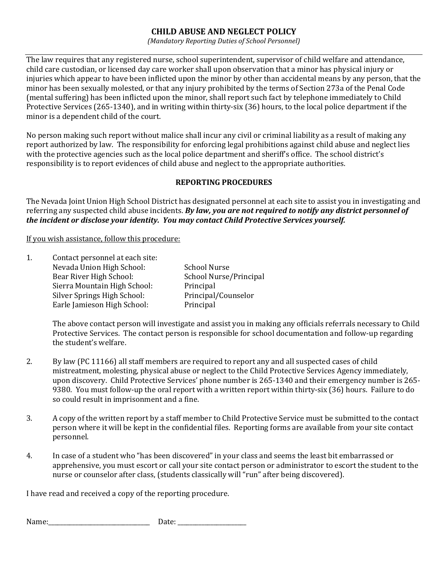## CHILD ABUSE AND NEGLECT POLICY

(Mandatory Reporting Duties of School Personnel)

The law requires that any registered nurse, school superintendent, supervisor of child welfare and attendance, child care custodian, or licensed day care worker shall upon observation that a minor has physical injury or injuries which appear to have been inflicted upon the minor by other than accidental means by any person, that the minor has been sexually molested, or that any injury prohibited by the terms of Section 273a of the Penal Code (mental suffering) has been inflicted upon the minor, shall report such fact by telephone immediately to Child Protective Services (265-1340), and in writing within thirty-six (36) hours, to the local police department if the minor is a dependent child of the court.

No person making such report without malice shall incur any civil or criminal liability as a result of making any report authorized by law. The responsibility for enforcing legal prohibitions against child abuse and neglect lies with the protective agencies such as the local police department and sheriff's office. The school district's responsibility is to report evidences of child abuse and neglect to the appropriate authorities.

## REPORTING PROCEDURES

The Nevada Joint Union High School District has designated personnel at each site to assist you in investigating and referring any suspected child abuse incidents. By law, you are not required to notify any district personnel of the incident or disclose your identity. You may contact Child Protective Services yourself.

If you wish assistance, follow this procedure:

| 1. | Contact personnel at each site: |                        |
|----|---------------------------------|------------------------|
|    | Nevada Union High School:       | <b>School Nurse</b>    |
|    | Bear River High School:         | School Nurse/Principal |
|    | Sierra Mountain High School:    | Principal              |
|    | Silver Springs High School:     | Principal/Counselor    |
|    | Earle Jamieson High School:     | Principal              |
|    |                                 |                        |

The above contact person will investigate and assist you in making any officials referrals necessary to Child Protective Services. The contact person is responsible for school documentation and follow-up regarding the student's welfare.

- 2. By law (PC 11166) all staff members are required to report any and all suspected cases of child mistreatment, molesting, physical abuse or neglect to the Child Protective Services Agency immediately, upon discovery. Child Protective Services' phone number is 265-1340 and their emergency number is 265- 9380. You must follow-up the oral report with a written report within thirty-six (36) hours. Failure to do so could result in imprisonment and a fine.
- 3. A copy of the written report by a staff member to Child Protective Service must be submitted to the contact person where it will be kept in the confidential files. Reporting forms are available from your site contact personnel.
- 4. In case of a student who "has been discovered" in your class and seems the least bit embarrassed or apprehensive, you must escort or call your site contact person or administrator to escort the student to the nurse or counselor after class, (students classically will "run" after being discovered).

I have read and received a copy of the reporting procedure.

Name:\_\_\_\_\_\_\_\_\_\_\_\_\_\_\_\_\_\_\_\_\_\_\_\_\_\_\_\_\_\_\_\_\_\_ Date: \_\_\_\_\_\_\_\_\_\_\_\_\_\_\_\_\_\_\_\_\_\_\_